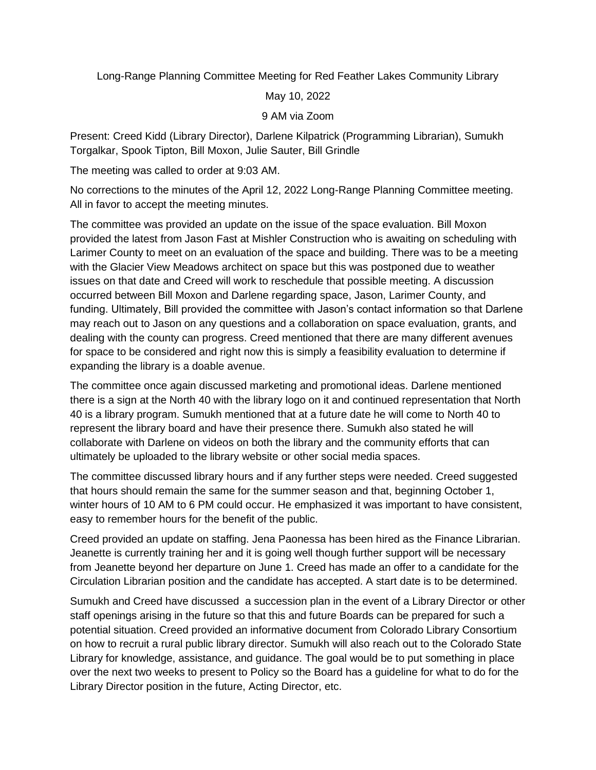Long-Range Planning Committee Meeting for Red Feather Lakes Community Library

May 10, 2022

## 9 AM via Zoom

Present: Creed Kidd (Library Director), Darlene Kilpatrick (Programming Librarian), Sumukh Torgalkar, Spook Tipton, Bill Moxon, Julie Sauter, Bill Grindle

The meeting was called to order at 9:03 AM.

No corrections to the minutes of the April 12, 2022 Long-Range Planning Committee meeting. All in favor to accept the meeting minutes.

The committee was provided an update on the issue of the space evaluation. Bill Moxon provided the latest from Jason Fast at Mishler Construction who is awaiting on scheduling with Larimer County to meet on an evaluation of the space and building. There was to be a meeting with the Glacier View Meadows architect on space but this was postponed due to weather issues on that date and Creed will work to reschedule that possible meeting. A discussion occurred between Bill Moxon and Darlene regarding space, Jason, Larimer County, and funding. Ultimately, Bill provided the committee with Jason's contact information so that Darlene may reach out to Jason on any questions and a collaboration on space evaluation, grants, and dealing with the county can progress. Creed mentioned that there are many different avenues for space to be considered and right now this is simply a feasibility evaluation to determine if expanding the library is a doable avenue.

The committee once again discussed marketing and promotional ideas. Darlene mentioned there is a sign at the North 40 with the library logo on it and continued representation that North 40 is a library program. Sumukh mentioned that at a future date he will come to North 40 to represent the library board and have their presence there. Sumukh also stated he will collaborate with Darlene on videos on both the library and the community efforts that can ultimately be uploaded to the library website or other social media spaces.

The committee discussed library hours and if any further steps were needed. Creed suggested that hours should remain the same for the summer season and that, beginning October 1, winter hours of 10 AM to 6 PM could occur. He emphasized it was important to have consistent, easy to remember hours for the benefit of the public.

Creed provided an update on staffing. Jena Paonessa has been hired as the Finance Librarian. Jeanette is currently training her and it is going well though further support will be necessary from Jeanette beyond her departure on June 1. Creed has made an offer to a candidate for the Circulation Librarian position and the candidate has accepted. A start date is to be determined.

Sumukh and Creed have discussed a succession plan in the event of a Library Director or other staff openings arising in the future so that this and future Boards can be prepared for such a potential situation. Creed provided an informative document from Colorado Library Consortium on how to recruit a rural public library director. Sumukh will also reach out to the Colorado State Library for knowledge, assistance, and guidance. The goal would be to put something in place over the next two weeks to present to Policy so the Board has a guideline for what to do for the Library Director position in the future, Acting Director, etc.